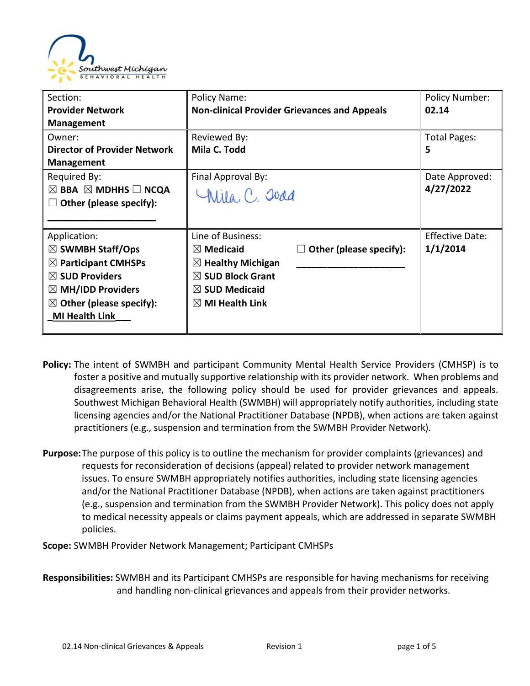

| Section:                                      | Policy Name:                                         | <b>Policy Number:</b>  |
|-----------------------------------------------|------------------------------------------------------|------------------------|
| <b>Provider Network</b>                       | <b>Non-clinical Provider Grievances and Appeals</b>  | 02.14                  |
| <b>Management</b>                             |                                                      |                        |
| Owner:                                        | Reviewed By:                                         | <b>Total Pages:</b>    |
| <b>Director of Provider Network</b>           | Mila C. Todd                                         | 5                      |
| <b>Management</b>                             |                                                      |                        |
| Required By:                                  | Final Approval By:                                   | Date Approved:         |
| $\boxtimes$ BBA $\boxtimes$ MDHHS $\Box$ NCQA | Chila, C. Joad                                       | 4/27/2022              |
| Other (please specify):                       |                                                      |                        |
|                                               |                                                      |                        |
| Application:                                  | Line of Business:                                    | <b>Effective Date:</b> |
| $\boxtimes$ SWMBH Staff/Ops                   | Other (please specify):<br>$\boxtimes$ Medicaid<br>ш | 1/1/2014               |
| $\boxtimes$ Participant CMHSPs                | $\boxtimes$ Healthy Michigan                         |                        |
| $\boxtimes$ SUD Providers                     | $\boxtimes$ SUD Block Grant                          |                        |
| $\boxtimes$ MH/IDD Providers                  | $\boxtimes$ SUD Medicaid                             |                        |
| $\boxtimes$ Other (please specify):           | $\boxtimes$ MI Health Link                           |                        |
| <b>MI Health Link</b>                         |                                                      |                        |
|                                               |                                                      |                        |

- **Policy:** The intent of SWMBH and participant Community Mental Health Service Providers (CMHSP) is to foster a positive and mutually supportive relationship with its provider network. When problems and disagreements arise, the following policy should be used for provider grievances and appeals. Southwest Michigan Behavioral Health (SWMBH) will appropriately notify authorities, including state licensing agencies and/or the National Practitioner Database (NPDB), when actions are taken against practitioners (e.g., suspension and termination from the SWMBH Provider Network).
- **Purpose:**The purpose of this policy is to outline the mechanism for provider complaints (grievances) and requests for reconsideration of decisions (appeal) related to provider network management issues. To ensure SWMBH appropriately notifies authorities, including state licensing agencies and/or the National Practitioner Database (NPDB), when actions are taken against practitioners (e.g., suspension and termination from the SWMBH Provider Network). This policy does not apply to medical necessity appeals or claims payment appeals, which are addressed in separate SWMBH policies.

**Scope:** SWMBH Provider Network Management; Participant CMHSPs

**Responsibilities:** SWMBH and its Participant CMHSPs are responsible for having mechanisms for receiving and handling non-clinical grievances and appeals from their provider networks.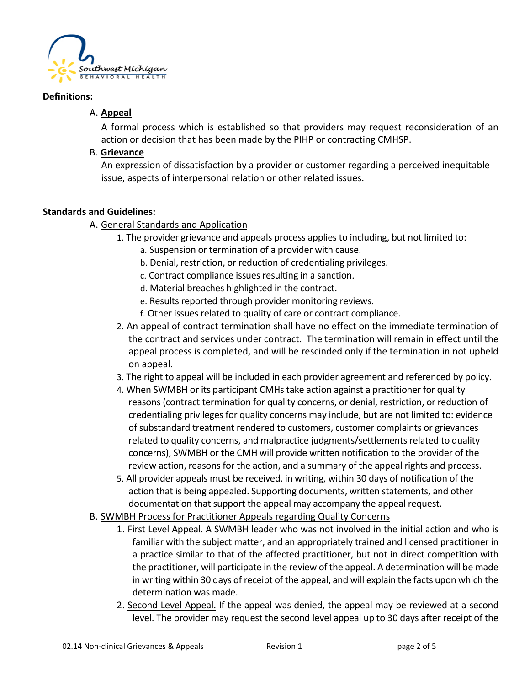

#### **Definitions:**

## A. **Appeal**

A formal process which is established so that providers may request reconsideration of an action or decision that has been made by the PIHP or contracting CMHSP.

#### B. **Grievance**

An expression of dissatisfaction by a provider or customer regarding a perceived inequitable issue, aspects of interpersonal relation or other related issues.

#### **Standards and Guidelines:**

### A. General Standards and Application

- 1. The provider grievance and appeals process applies to including, but not limited to:
	- a. Suspension or termination of a provider with cause.
	- b. Denial, restriction, or reduction of credentialing privileges.
	- c. Contract compliance issues resulting in a sanction.
	- d. Material breaches highlighted in the contract.
	- e. Results reported through provider monitoring reviews.
	- f. Other issues related to quality of care or contract compliance.
- 2. An appeal of contract termination shall have no effect on the immediate termination of the contract and services under contract. The termination will remain in effect until the appeal process is completed, and will be rescinded only if the termination in not upheld on appeal.
- 3. The right to appeal will be included in each provider agreement and referenced by policy.
- 4. When SWMBH or its participant CMHs take action against a practitioner for quality reasons (contract termination for quality concerns, or denial, restriction, or reduction of credentialing privileges for quality concerns may include, but are not limited to: evidence of substandard treatment rendered to customers, customer complaints or grievances related to quality concerns, and malpractice judgments/settlements related to quality concerns), SWMBH or the CMH will provide written notification to the provider of the review action, reasons for the action, and a summary of the appeal rights and process.
- 5. All provider appeals must be received, in writing, within 30 days of notification of the action that is being appealed. Supporting documents, written statements, and other documentation that support the appeal may accompany the appeal request.
- B. SWMBH Process for Practitioner Appeals regarding Quality Concerns
	- 1. First Level Appeal. A SWMBH leader who was not involved in the initial action and who is familiar with the subject matter, and an appropriately trained and licensed practitioner in a practice similar to that of the affected practitioner, but not in direct competition with the practitioner, will participate in the review of the appeal. A determination will be made in writing within 30 days of receipt of the appeal, and will explain the facts upon which the determination was made.
	- 2. Second Level Appeal. If the appeal was denied, the appeal may be reviewed at a second level. The provider may request the second level appeal up to 30 days after receipt of the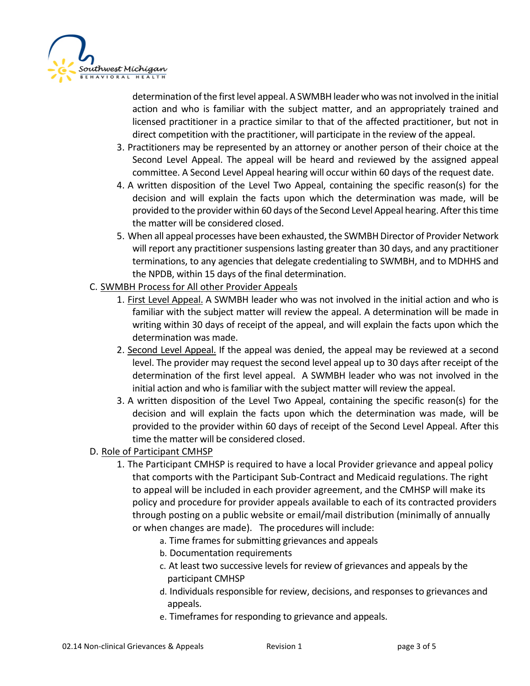

determination of the first level appeal. A SWMBH leader who was not involved in the initial action and who is familiar with the subject matter, and an appropriately trained and licensed practitioner in a practice similar to that of the affected practitioner, but not in direct competition with the practitioner, will participate in the review of the appeal.

- 3. Practitioners may be represented by an attorney or another person of their choice at the Second Level Appeal. The appeal will be heard and reviewed by the assigned appeal committee. A Second Level Appeal hearing will occur within 60 days of the request date.
- 4. A written disposition of the Level Two Appeal, containing the specific reason(s) for the decision and will explain the facts upon which the determination was made, will be provided to the provider within 60 days of the Second Level Appeal hearing. After this time the matter will be considered closed.
- 5. When all appeal processes have been exhausted, the SWMBH Director of Provider Network will report any practitioner suspensions lasting greater than 30 days, and any practitioner terminations, to any agencies that delegate credentialing to SWMBH, and to MDHHS and the NPDB, within 15 days of the final determination.
- C. SWMBH Process for All other Provider Appeals
	- 1. First Level Appeal. A SWMBH leader who was not involved in the initial action and who is familiar with the subject matter will review the appeal. A determination will be made in writing within 30 days of receipt of the appeal, and will explain the facts upon which the determination was made.
	- 2. Second Level Appeal. If the appeal was denied, the appeal may be reviewed at a second level. The provider may request the second level appeal up to 30 days after receipt of the determination of the first level appeal. A SWMBH leader who was not involved in the initial action and who is familiar with the subject matter will review the appeal.
	- 3. A written disposition of the Level Two Appeal, containing the specific reason(s) for the decision and will explain the facts upon which the determination was made, will be provided to the provider within 60 days of receipt of the Second Level Appeal. After this time the matter will be considered closed.
- D. Role of Participant CMHSP
	- 1. The Participant CMHSP is required to have a local Provider grievance and appeal policy that comports with the Participant Sub-Contract and Medicaid regulations. The right to appeal will be included in each provider agreement, and the CMHSP will make its policy and procedure for provider appeals available to each of its contracted providers through posting on a public website or email/mail distribution (minimally of annually or when changes are made). The procedures will include:
		- a. Time frames for submitting grievances and appeals
		- b. Documentation requirements
		- c. At least two successive levels for review of grievances and appeals by the participant CMHSP
		- d. Individuals responsible for review, decisions, and responses to grievances and appeals.
		- e. Timeframes for responding to grievance and appeals.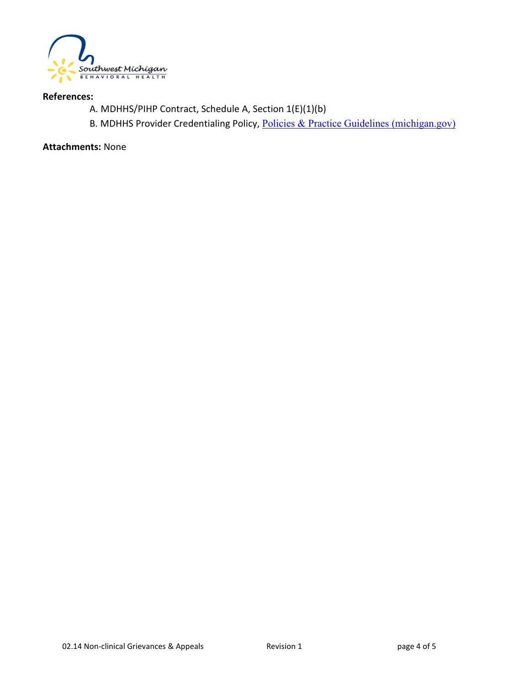

#### **References:**

- A. MDHHS/PIHP Contract, Schedule A, Section 1(E)(1)(b)
- B. MDHHS Provider Credentialing Policy, [Policies & Practice Guidelines \(michigan.gov\)](https://www.michigan.gov/mdhhs/keep-mi-healthy/mentalhealth/mentalhealth/practiceguidelines)

**Attachments:** None